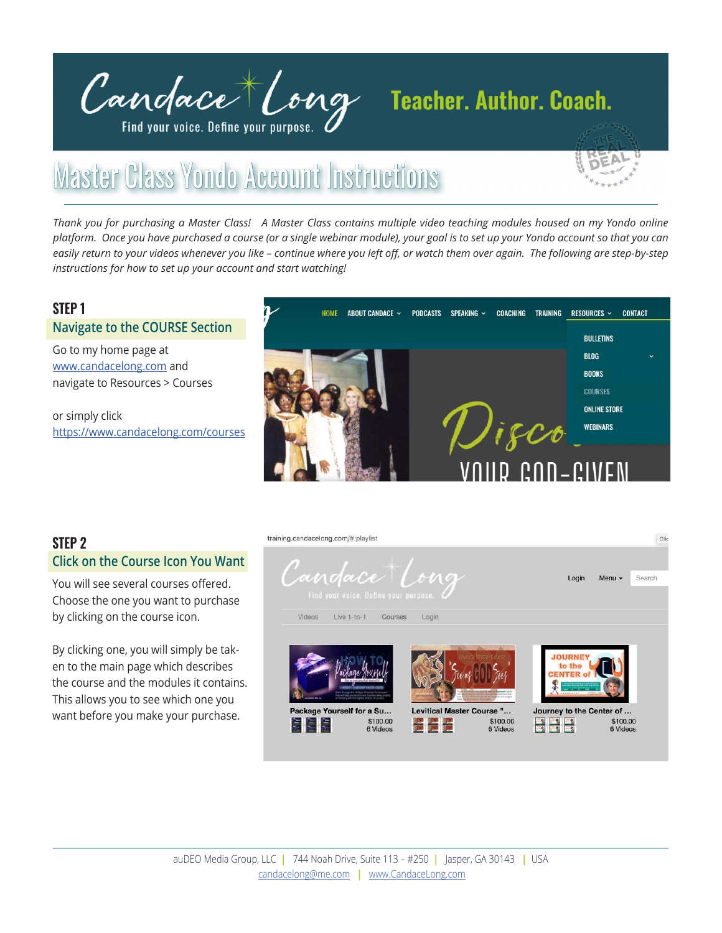

# Master Class Yondo Account Instructions

*Thank you for purchasing a Master Class! A Master Class contains multiple video teaching modules housed on my Yondo online platform. Once you have purchased a course (or a single webinar module), your goal is to set up your Yondo account so that you can*  easily return to your videos whenever you like - continue where you left off, or watch them over again. The following are step-by-step *instructions for how to set up your account and start watching!* 

## **STEP 1 Navigate to the COURSE Section**

Go to my home page at [www.candacelong.com](https://www.candacelong.com) and navigate to Resources > Courses

or simply click <https://www.candacelong.com/courses>



## **STEP 2 Click on the Course Icon You Want**

You will see several courses offered. Choose the one you want to purchase by clicking on the course icon.

By clicking one, you will simply be taken to the main page which describes the course and the modules it contains. This allows you to see which one you want before you make your purchase.

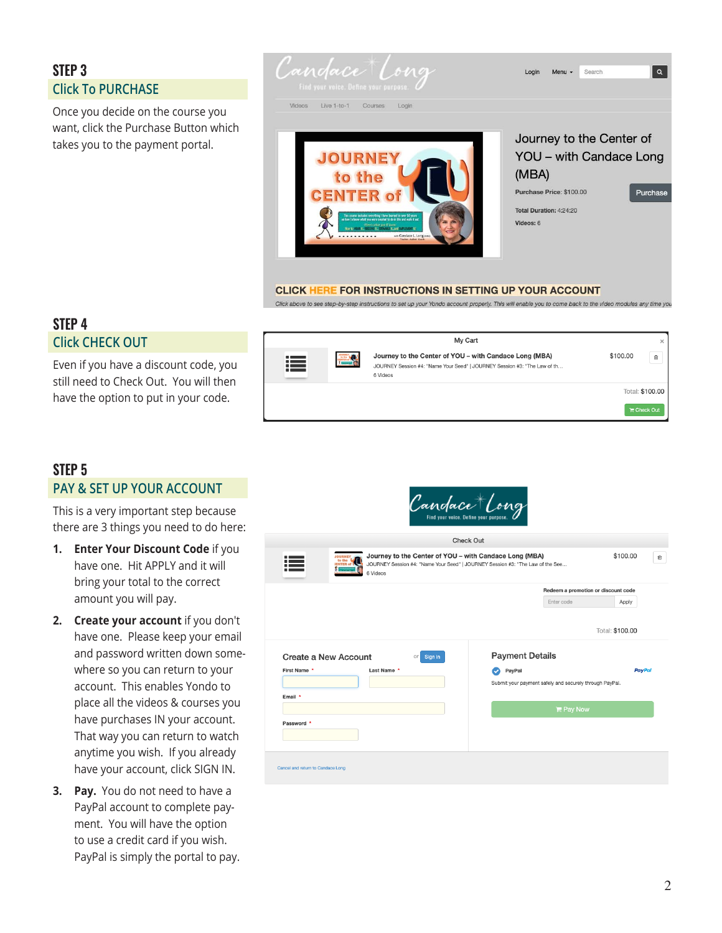# **STEP 3 Click To PURCHASE**

Once you decide on the course you want, click the Purchase Button which takes you to the payment portal.



Click above to see step-by-step instructions to set up your Yondo account properly. This will enable you to come back to the video modules any time you

## **STEP 4 Click CHECK OUT**

Even if you have a discount code, you still need to Check Out. You will then have the option to put in your code.



## **STEP 5 PAY & SET UP YOUR ACCOUNT**

This is a very important step because there are 3 things you need to do here:

- **1. Enter Your Discount Code** if you have one. Hit APPLY and it will bring your total to the correct amount you will pay.
- **2. Create your account** if you don't have one. Please keep your email and password written down some where so you can return to your account. This enables Yondo to place all the videos & courses you have purchases IN your account. That way you can return to watch anytime you wish. If you already have your account, click SIGN IN.
- **3. Pay.** You do not need to have a PayPal account to complete pay ment. You will have the option to use a credit card if you wish. PayPal is simply the portal to pay.

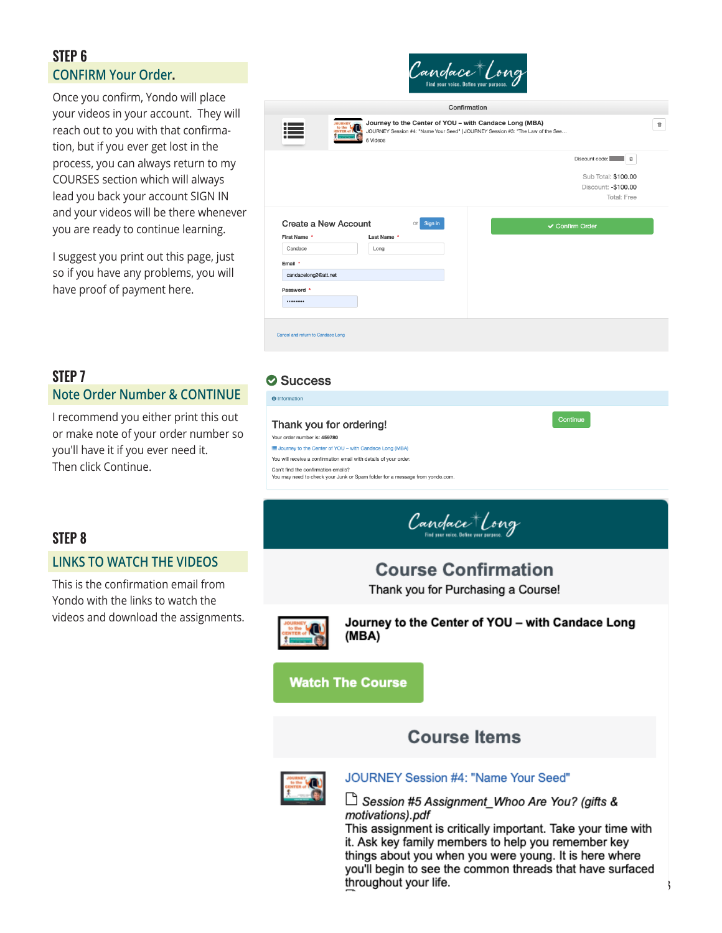## **STEP 6 CONFIRM Your Order.**

Once you confirm, Yondo will place your videos in your account. They will reach out to you with that confirma tion, but if you ever get lost in the process, you can always return to my COURSES section which will always lead you back your account SIGN IN and your videos will be there whenever you are ready to continue learning.

I suggest you print out this page, just so if you have any problems, you will have proof of payment here.



## **STEP 7 Note Order Number & CONTINUE**

I recommend you either print this out or make note of your order number so you'll have it if you ever need it. Then click Continue.

## **Success**

**O** Information

#### Thank you for ordering! Your order number is: 459780 i Journey to the Center of YOU - with Candace Long (MBA) You will receive a confirmation email with details of your order Can't find the confirmation emails? You may need to check your Junk or Spam folder for a message from yondo.com.

Candace Long

## **STEP 8**

## **LINKS TO WATCH THE VIDEOS**

This is the confirmation email from Yondo with the links to watch the videos and download the assignments.

**Course Confirmation** Thank you for Purchasing a Course! Journey to the Center of YOU - with Candace Long (MBA) **Watch The Course Course Items** 



## JOURNEY Session #4: "Name Your Seed"

└─े Session #5 Assignment\_Whoo Are You? (gifts & motivations).pdf

This assignment is critically important. Take your time with it. Ask key family members to help you remember key things about you when you were young. It is here where you'll begin to see the common threads that have surfaced throughout your life.